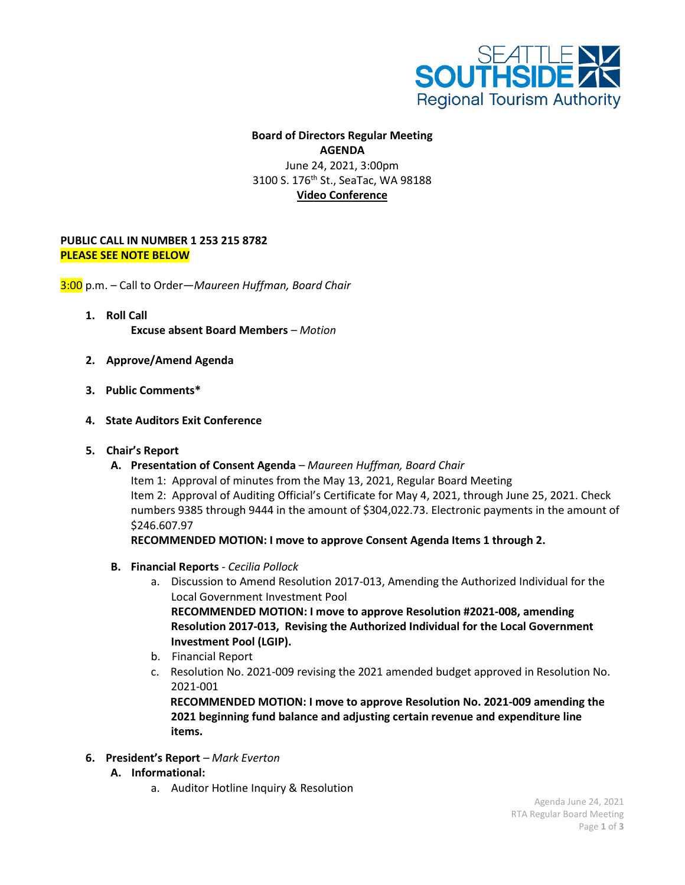

## **Board of Directors Regular Meeting AGENDA** June 24, 2021, 3:00pm 3100 S. 176<sup>th</sup> St., SeaTac, WA 98188 **Video Conference**

## **PUBLIC CALL IN NUMBER 1 253 215 8782 PLEASE SEE NOTE BELOW**

3:00 p.m. – Call to Order—*Maureen Huffman, Board Chair*

- **1. Roll Call Excuse absent Board Members** *– Motion*
- **2. Approve/Amend Agenda**
- **3. Public Comments\***
- **4. State Auditors Exit Conference**
- **5. Chair's Report**
	- **A. Presentation of Consent Agenda** *– Maureen Huffman, Board Chair*

Item 1: Approval of minutes from the May 13, 2021, Regular Board Meeting Item 2: Approval of Auditing Official's Certificate for May 4, 2021, through June 25, 2021. Check numbers 9385 through 9444 in the amount of \$304,022.73. Electronic payments in the amount of \$246.607.97

**RECOMMENDED MOTION: I move to approve Consent Agenda Items 1 through 2.**

- **B. Financial Reports** *- Cecilia Pollock*
	- a. Discussion to Amend Resolution 2017-013, Amending the Authorized Individual for the Local Government Investment Pool **RECOMMENDED MOTION: I move to approve Resolution #2021-008, amending Resolution 2017-013, Revising the Authorized Individual for the Local Government Investment Pool (LGIP).**
	- b. Financial Report
	- c. Resolution No. 2021-009 revising the 2021 amended budget approved in Resolution No. 2021-001

 **RECOMMENDED MOTION: I move to approve Resolution No. 2021-009 amending the 2021 beginning fund balance and adjusting certain revenue and expenditure line items.**

- **6. President's Report** *– Mark Everton*
	- **A. Informational:**
		- a. Auditor Hotline Inquiry & Resolution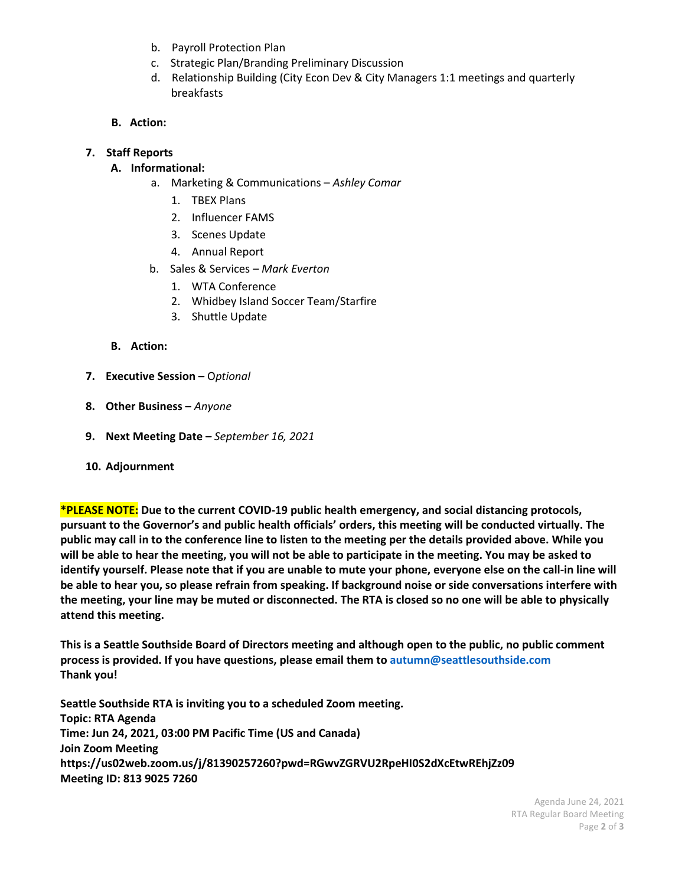- b. Payroll Protection Plan
- c. Strategic Plan/Branding Preliminary Discussion
- d. Relationship Building (City Econ Dev & City Managers 1:1 meetings and quarterly breakfasts
- **B. Action:**

## **7. Staff Reports**

## **A. Informational:**

- a. Marketing & Communications *Ashley Comar*
	- 1. TBEX Plans
	- 2. Influencer FAMS
	- 3. Scenes Update
	- 4. Annual Report
- b. Sales & Services *– Mark Everton*
	- 1. WTA Conference
	- 2. Whidbey Island Soccer Team/Starfire
	- 3. Shuttle Update
- **B. Action:**
- **7. Executive Session –** O*ptional*
- **8. Other Business –** *Anyone*
- **9. Next Meeting Date –** *September 16, 2021*
- **10. Adjournment**

**\*PLEASE NOTE: Due to the current COVID-19 public health emergency, and social distancing protocols, pursuant to the Governor's and public health officials' orders, this meeting will be conducted virtually. The public may call in to the conference line to listen to the meeting per the details provided above. While you will be able to hear the meeting, you will not be able to participate in the meeting. You may be asked to identify yourself. Please note that if you are unable to mute your phone, everyone else on the call-in line will be able to hear you, so please refrain from speaking. If background noise or side conversations interfere with the meeting, your line may be muted or disconnected. The RTA is closed so no one will be able to physically attend this meeting.** 

**This is a Seattle Southside Board of Directors meeting and although open to the public, no public comment process is provided. If you have questions, please email them to autumn@seattlesouthside.com Thank you!**

**Seattle Southside RTA is inviting you to a scheduled Zoom meeting. Topic: RTA Agenda Time: Jun 24, 2021, 03:00 PM Pacific Time (US and Canada) Join Zoom Meeting https://us02web.zoom.us/j/81390257260?pwd=RGwvZGRVU2RpeHI0S2dXcEtwREhjZz09 Meeting ID: 813 9025 7260**